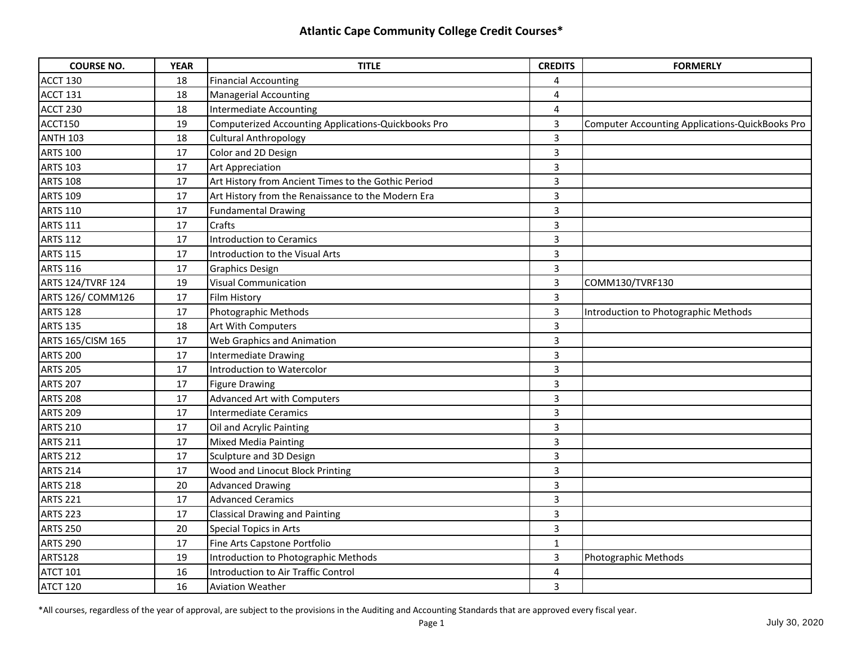| <b>COURSE NO.</b>        | <b>YEAR</b> | <b>TITLE</b>                                        | <b>CREDITS</b>          | <b>FORMERLY</b>                                        |
|--------------------------|-------------|-----------------------------------------------------|-------------------------|--------------------------------------------------------|
| ACCT 130                 | 18          | <b>Financial Accounting</b>                         | 4                       |                                                        |
| <b>ACCT 131</b>          | 18          | <b>Managerial Accounting</b>                        | 4                       |                                                        |
| ACCT 230                 | 18          | Intermediate Accounting                             | 4                       |                                                        |
| ACCT150                  | 19          | Computerized Accounting Applications-Quickbooks Pro | 3                       | <b>Computer Accounting Applications-QuickBooks Pro</b> |
| <b>ANTH 103</b>          | 18          | <b>Cultural Anthropology</b>                        | $\overline{3}$          |                                                        |
| <b>ARTS 100</b>          | 17          | Color and 2D Design                                 | $\overline{\mathbf{3}}$ |                                                        |
| <b>ARTS 103</b>          | 17          | <b>Art Appreciation</b>                             | 3                       |                                                        |
| <b>ARTS 108</b>          | 17          | Art History from Ancient Times to the Gothic Period | 3                       |                                                        |
| <b>ARTS 109</b>          | 17          | Art History from the Renaissance to the Modern Era  | $\overline{\mathbf{3}}$ |                                                        |
| <b>ARTS 110</b>          | 17          | <b>Fundamental Drawing</b>                          | 3                       |                                                        |
| <b>ARTS 111</b>          | 17          | Crafts                                              | 3                       |                                                        |
| <b>ARTS 112</b>          | 17          | Introduction to Ceramics                            | 3                       |                                                        |
| <b>ARTS 115</b>          | 17          | Introduction to the Visual Arts                     | $\overline{3}$          |                                                        |
| <b>ARTS 116</b>          | 17          | <b>Graphics Design</b>                              | $\overline{3}$          |                                                        |
| <b>ARTS 124/TVRF 124</b> | 19          | <b>Visual Communication</b>                         | 3                       | COMM130/TVRF130                                        |
| ARTS 126/ COMM126        | 17          | <b>Film History</b>                                 | 3                       |                                                        |
| <b>ARTS 128</b>          | 17          | Photographic Methods                                | 3                       | Introduction to Photographic Methods                   |
| <b>ARTS 135</b>          | 18          | Art With Computers                                  | $\overline{3}$          |                                                        |
| ARTS 165/CISM 165        | 17          | Web Graphics and Animation                          | $\overline{\mathbf{3}}$ |                                                        |
| <b>ARTS 200</b>          | 17          | Intermediate Drawing                                | $\overline{3}$          |                                                        |
| <b>ARTS 205</b>          | 17          | Introduction to Watercolor                          | 3                       |                                                        |
| <b>ARTS 207</b>          | 17          | Figure Drawing                                      | 3                       |                                                        |
| <b>ARTS 208</b>          | 17          | <b>Advanced Art with Computers</b>                  | 3                       |                                                        |
| <b>ARTS 209</b>          | 17          | <b>Intermediate Ceramics</b>                        | 3                       |                                                        |
| <b>ARTS 210</b>          | 17          | Oil and Acrylic Painting                            | 3                       |                                                        |
| <b>ARTS 211</b>          | 17          | <b>Mixed Media Painting</b>                         | 3                       |                                                        |
| <b>ARTS 212</b>          | 17          | Sculpture and 3D Design                             | 3                       |                                                        |
| <b>ARTS 214</b>          | 17          | Wood and Linocut Block Printing                     | 3                       |                                                        |
| <b>ARTS 218</b>          | 20          | <b>Advanced Drawing</b>                             | 3                       |                                                        |
| <b>ARTS 221</b>          | 17          | <b>Advanced Ceramics</b>                            | 3                       |                                                        |
| <b>ARTS 223</b>          | 17          | <b>Classical Drawing and Painting</b>               | 3                       |                                                        |
| <b>ARTS 250</b>          | 20          | <b>Special Topics in Arts</b>                       | 3                       |                                                        |
| <b>ARTS 290</b>          | 17          | Fine Arts Capstone Portfolio                        | $\mathbf{1}$            |                                                        |
| <b>ARTS128</b>           | 19          | Introduction to Photographic Methods                | 3                       | Photographic Methods                                   |
| <b>ATCT 101</b>          | 16          | Introduction to Air Traffic Control                 | 4                       |                                                        |
| ATCT 120                 | 16          | <b>Aviation Weather</b>                             | 3                       |                                                        |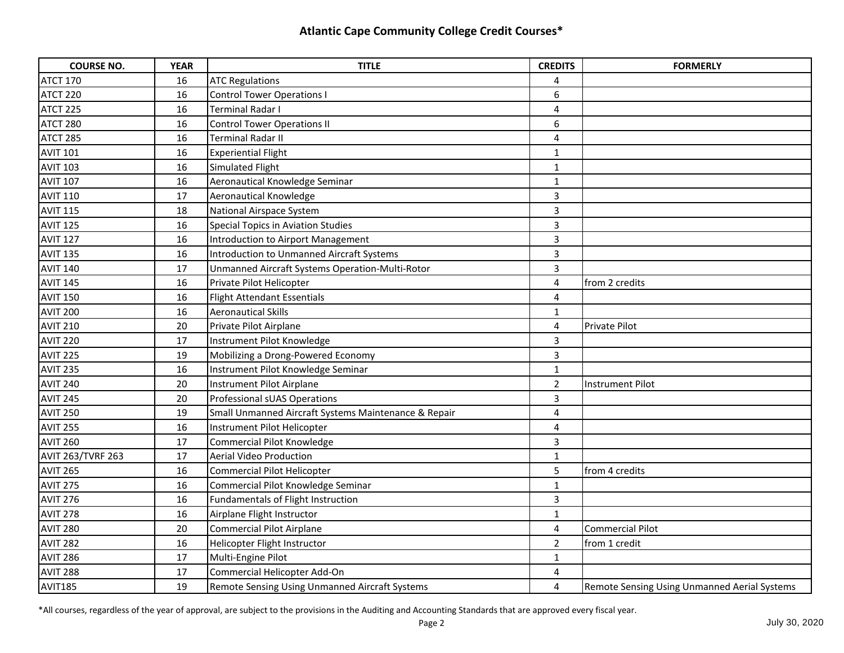| <b>COURSE NO.</b>        | <b>YEAR</b> | <b>TITLE</b>                                         | <b>CREDITS</b>          | <b>FORMERLY</b>                                     |
|--------------------------|-------------|------------------------------------------------------|-------------------------|-----------------------------------------------------|
| <b>ATCT 170</b>          | 16          | <b>ATC Regulations</b>                               | 4                       |                                                     |
| ATCT 220                 | 16          | Control Tower Operations I                           | 6                       |                                                     |
| ATCT 225                 | 16          | Terminal Radar I                                     | 4                       |                                                     |
| ATCT 280                 | 16          | <b>Control Tower Operations II</b>                   | 6                       |                                                     |
| ATCT 285                 | 16          | Terminal Radar II                                    | 4                       |                                                     |
| <b>AVIT 101</b>          | 16          | <b>Experiential Flight</b>                           | $\mathbf{1}$            |                                                     |
| <b>AVIT 103</b>          | 16          | Simulated Flight                                     | $\mathbf{1}$            |                                                     |
| <b>AVIT 107</b>          | 16          | Aeronautical Knowledge Seminar                       | $\mathbf{1}$            |                                                     |
| <b>AVIT 110</b>          | 17          | Aeronautical Knowledge                               | $\overline{3}$          |                                                     |
| <b>AVIT 115</b>          | 18          | National Airspace System                             | $\overline{3}$          |                                                     |
| AVIT <sub>125</sub>      | 16          | <b>Special Topics in Aviation Studies</b>            | 3                       |                                                     |
| AVIT <sub>127</sub>      | 16          | Introduction to Airport Management                   | 3                       |                                                     |
| <b>AVIT 135</b>          | 16          | <b>Introduction to Unmanned Aircraft Systems</b>     | $\overline{\mathbf{3}}$ |                                                     |
| <b>AVIT 140</b>          | 17          | Unmanned Aircraft Systems Operation-Multi-Rotor      | 3                       |                                                     |
| <b>AVIT 145</b>          | 16          | Private Pilot Helicopter                             | 4                       | from 2 credits                                      |
| <b>AVIT 150</b>          | 16          | <b>Flight Attendant Essentials</b>                   | 4                       |                                                     |
| <b>AVIT 200</b>          | 16          | <b>Aeronautical Skills</b>                           | $\mathbf{1}$            |                                                     |
| <b>AVIT 210</b>          | 20          | Private Pilot Airplane                               | $\overline{4}$          | Private Pilot                                       |
| <b>AVIT 220</b>          | 17          | Instrument Pilot Knowledge                           | $\overline{3}$          |                                                     |
| AVIT <sub>225</sub>      | 19          | Mobilizing a Drong-Powered Economy                   | 3                       |                                                     |
| <b>AVIT 235</b>          | 16          | Instrument Pilot Knowledge Seminar                   | $\mathbf 1$             |                                                     |
| <b>AVIT 240</b>          | 20          | Instrument Pilot Airplane                            | $\overline{2}$          | <b>Instrument Pilot</b>                             |
| <b>AVIT 245</b>          | 20          | Professional sUAS Operations                         | 3                       |                                                     |
| <b>AVIT 250</b>          | 19          | Small Unmanned Aircraft Systems Maintenance & Repair | 4                       |                                                     |
| <b>AVIT 255</b>          | 16          | Instrument Pilot Helicopter                          | 4                       |                                                     |
| <b>AVIT 260</b>          | 17          | <b>Commercial Pilot Knowledge</b>                    | 3                       |                                                     |
| <b>AVIT 263/TVRF 263</b> | 17          | <b>Aerial Video Production</b>                       | $\mathbf{1}$            |                                                     |
| <b>AVIT 265</b>          | 16          | Commercial Pilot Helicopter                          | 5                       | from 4 credits                                      |
| <b>AVIT 275</b>          | 16          | Commercial Pilot Knowledge Seminar                   | $\mathbf{1}$            |                                                     |
| <b>AVIT 276</b>          | 16          | Fundamentals of Flight Instruction                   | 3                       |                                                     |
| <b>AVIT 278</b>          | 16          | Airplane Flight Instructor                           | $\mathbf{1}$            |                                                     |
| <b>AVIT 280</b>          | 20          | <b>Commercial Pilot Airplane</b>                     | 4                       | <b>Commercial Pilot</b>                             |
| <b>AVIT 282</b>          | 16          | Helicopter Flight Instructor                         | $\overline{2}$          | from 1 credit                                       |
| <b>AVIT 286</b>          | 17          | Multi-Engine Pilot                                   | $\mathbf{1}$            |                                                     |
| AVIT 288                 | 17          | Commercial Helicopter Add-On                         | 4                       |                                                     |
| AVIT185                  | 19          | Remote Sensing Using Unmanned Aircraft Systems       | 4                       | <b>Remote Sensing Using Unmanned Aerial Systems</b> |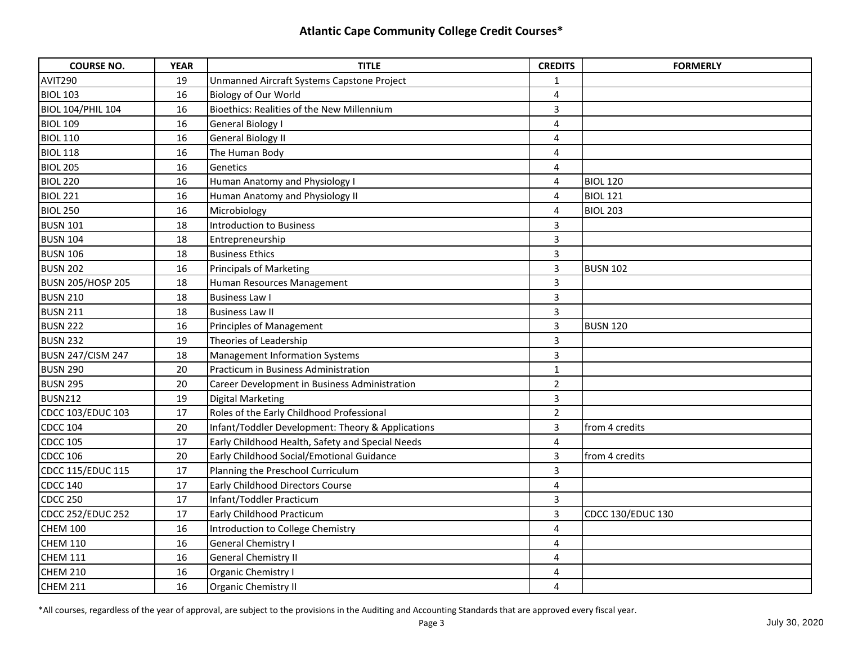| <b>COURSE NO.</b>        | <b>YEAR</b> | <b>TITLE</b>                                      | <b>CREDITS</b>          | <b>FORMERLY</b>          |
|--------------------------|-------------|---------------------------------------------------|-------------------------|--------------------------|
| AVIT290                  | 19          | Unmanned Aircraft Systems Capstone Project        | 1                       |                          |
| <b>BIOL 103</b>          | 16          | Biology of Our World                              | $\overline{\mathbf{4}}$ |                          |
| <b>BIOL 104/PHIL 104</b> | 16          | Bioethics: Realities of the New Millennium        | $\overline{3}$          |                          |
| <b>BIOL 109</b>          | 16          | <b>General Biology I</b>                          | 4                       |                          |
| <b>BIOL 110</b>          | 16          | <b>General Biology II</b>                         | 4                       |                          |
| <b>BIOL 118</b>          | 16          | The Human Body                                    | $\overline{\mathbf{4}}$ |                          |
| <b>BIOL 205</b>          | 16          | Genetics                                          | 4                       |                          |
| BIOL <sub>220</sub>      | 16          | Human Anatomy and Physiology I                    | 4                       | <b>BIOL 120</b>          |
| <b>BIOL 221</b>          | 16          | Human Anatomy and Physiology II                   | 4                       | <b>BIOL 121</b>          |
| <b>BIOL 250</b>          | 16          | Microbiology                                      | 4                       | <b>BIOL 203</b>          |
| <b>BUSN 101</b>          | 18          | <b>Introduction to Business</b>                   | 3                       |                          |
| <b>BUSN 104</b>          | 18          | Entrepreneurship                                  | 3                       |                          |
| <b>BUSN 106</b>          | 18          | <b>Business Ethics</b>                            | 3                       |                          |
| <b>BUSN 202</b>          | 16          | <b>Principals of Marketing</b>                    | 3                       | <b>BUSN 102</b>          |
| <b>BUSN 205/HOSP 205</b> | 18          | Human Resources Management                        | $\overline{3}$          |                          |
| <b>BUSN 210</b>          | 18          | <b>Business Law I</b>                             | 3                       |                          |
| <b>BUSN 211</b>          | 18          | <b>Business Law II</b>                            | $\overline{3}$          |                          |
| <b>BUSN 222</b>          | 16          | Principles of Management                          | $\overline{3}$          | <b>BUSN 120</b>          |
| <b>BUSN 232</b>          | 19          | Theories of Leadership                            | $\overline{3}$          |                          |
| BUSN 247/CISM 247        | 18          | Management Information Systems                    | $\overline{3}$          |                          |
| <b>BUSN 290</b>          | 20          | Practicum in Business Administration              | $\mathbf{1}$            |                          |
| <b>BUSN 295</b>          | 20          | Career Development in Business Administration     | $\overline{2}$          |                          |
| <b>BUSN212</b>           | 19          | <b>Digital Marketing</b>                          | 3                       |                          |
| CDCC 103/EDUC 103        | 17          | Roles of the Early Childhood Professional         | $\overline{2}$          |                          |
| <b>CDCC 104</b>          | 20          | Infant/Toddler Development: Theory & Applications | $\overline{3}$          | from 4 credits           |
| <b>CDCC 105</b>          | 17          | Early Childhood Health, Safety and Special Needs  | 4                       |                          |
| <b>CDCC 106</b>          | 20          | Early Childhood Social/Emotional Guidance         | 3                       | from 4 credits           |
| CDCC 115/EDUC 115        | 17          | Planning the Preschool Curriculum                 | 3                       |                          |
| <b>CDCC 140</b>          | 17          | Early Childhood Directors Course                  | $\overline{4}$          |                          |
| <b>CDCC 250</b>          | 17          | Infant/Toddler Practicum                          | 3                       |                          |
| CDCC 252/EDUC 252        | 17          | Early Childhood Practicum                         | 3                       | <b>CDCC 130/EDUC 130</b> |
| <b>CHEM 100</b>          | 16          | Introduction to College Chemistry                 | 4                       |                          |
| <b>CHEM 110</b>          | 16          | <b>General Chemistry I</b>                        | $\overline{\mathbf{4}}$ |                          |
| <b>CHEM 111</b>          | 16          | General Chemistry II                              | 4                       |                          |
| <b>CHEM 210</b>          | 16          | Organic Chemistry I                               | 4                       |                          |
| <b>CHEM 211</b>          | 16          | <b>Organic Chemistry II</b>                       | 4                       |                          |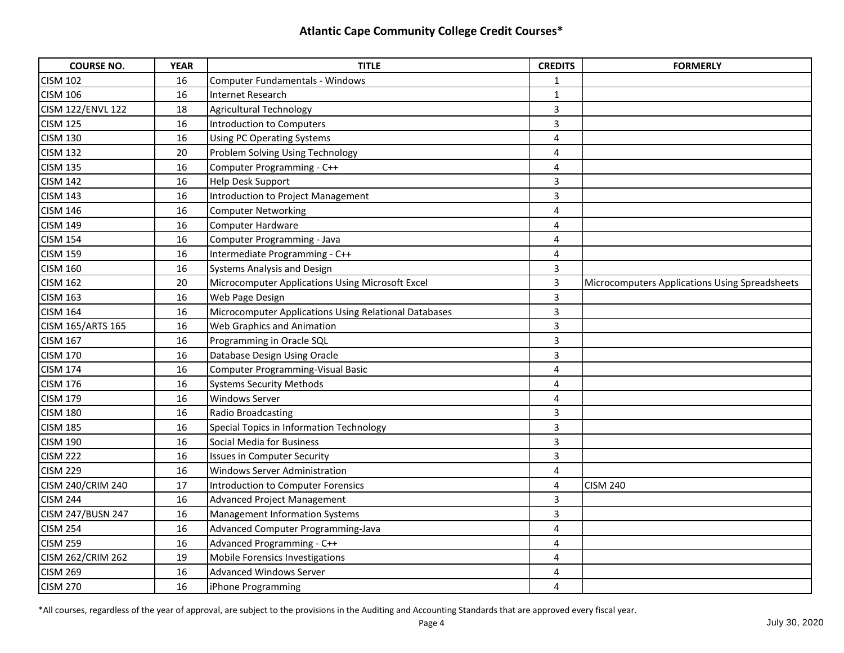| <b>COURSE NO.</b>        | <b>YEAR</b> | <b>TITLE</b>                                          | <b>CREDITS</b>          | <b>FORMERLY</b>                                |
|--------------------------|-------------|-------------------------------------------------------|-------------------------|------------------------------------------------|
| <b>CISM 102</b>          | 16          | Computer Fundamentals - Windows                       | 1                       |                                                |
| <b>CISM 106</b>          | 16          | <b>Internet Research</b>                              | $\mathbf{1}$            |                                                |
| <b>CISM 122/ENVL 122</b> | 18          | <b>Agricultural Technology</b>                        | 3                       |                                                |
| <b>CISM 125</b>          | 16          | Introduction to Computers                             | $\overline{3}$          |                                                |
| <b>CISM 130</b>          | 16          | <b>Using PC Operating Systems</b>                     | 4                       |                                                |
| <b>CISM 132</b>          | 20          | Problem Solving Using Technology                      | 4                       |                                                |
| <b>CISM 135</b>          | 16          | Computer Programming - C++                            | 4                       |                                                |
| <b>CISM 142</b>          | 16          | Help Desk Support                                     | 3                       |                                                |
| <b>CISM 143</b>          | 16          | <b>Introduction to Project Management</b>             | $\overline{\mathbf{3}}$ |                                                |
| <b>CISM 146</b>          | 16          | <b>Computer Networking</b>                            | 4                       |                                                |
| <b>CISM 149</b>          | 16          | Computer Hardware                                     | 4                       |                                                |
| <b>CISM 154</b>          | 16          | Computer Programming - Java                           | 4                       |                                                |
| <b>CISM 159</b>          | 16          | Intermediate Programming - C++                        | $\overline{4}$          |                                                |
| <b>CISM 160</b>          | 16          | Systems Analysis and Design                           | 3                       |                                                |
| <b>CISM 162</b>          | 20          | Microcomputer Applications Using Microsoft Excel      | $\overline{3}$          | Microcomputers Applications Using Spreadsheets |
| <b>CISM 163</b>          | 16          | Web Page Design                                       | 3                       |                                                |
| <b>CISM 164</b>          | 16          | Microcomputer Applications Using Relational Databases | 3                       |                                                |
| CISM 165/ARTS 165        | 16          | Web Graphics and Animation                            | $\overline{3}$          |                                                |
| <b>CISM 167</b>          | 16          | Programming in Oracle SQL                             | $\overline{3}$          |                                                |
| <b>CISM 170</b>          | 16          | Database Design Using Oracle                          | 3                       |                                                |
| <b>CISM 174</b>          | 16          | <b>Computer Programming-Visual Basic</b>              | 4                       |                                                |
| <b>CISM 176</b>          | 16          | <b>Systems Security Methods</b>                       | 4                       |                                                |
| <b>CISM 179</b>          | 16          | <b>Windows Server</b>                                 | $\overline{4}$          |                                                |
| <b>CISM 180</b>          | 16          | Radio Broadcasting                                    | $\overline{3}$          |                                                |
| <b>CISM 185</b>          | 16          | Special Topics in Information Technology              | 3                       |                                                |
| <b>CISM 190</b>          | 16          | Social Media for Business                             | 3                       |                                                |
| <b>CISM 222</b>          | 16          | <b>Issues in Computer Security</b>                    | 3                       |                                                |
| <b>CISM 229</b>          | 16          | <b>Windows Server Administration</b>                  | $\overline{4}$          |                                                |
| CISM 240/CRIM 240        | 17          | <b>Introduction to Computer Forensics</b>             | 4                       | <b>CISM 240</b>                                |
| <b>CISM 244</b>          | 16          | <b>Advanced Project Management</b>                    | 3                       |                                                |
| <b>CISM 247/BUSN 247</b> | 16          | Management Information Systems                        | 3                       |                                                |
| <b>CISM 254</b>          | 16          | Advanced Computer Programming-Java                    | 4                       |                                                |
| <b>CISM 259</b>          | 16          | Advanced Programming - C++                            | 4                       |                                                |
| CISM 262/CRIM 262        | 19          | Mobile Forensics Investigations                       | $\overline{4}$          |                                                |
| <b>CISM 269</b>          | 16          | <b>Advanced Windows Server</b>                        | 4                       |                                                |
| CISM 270                 | 16          | iPhone Programming                                    | 4                       |                                                |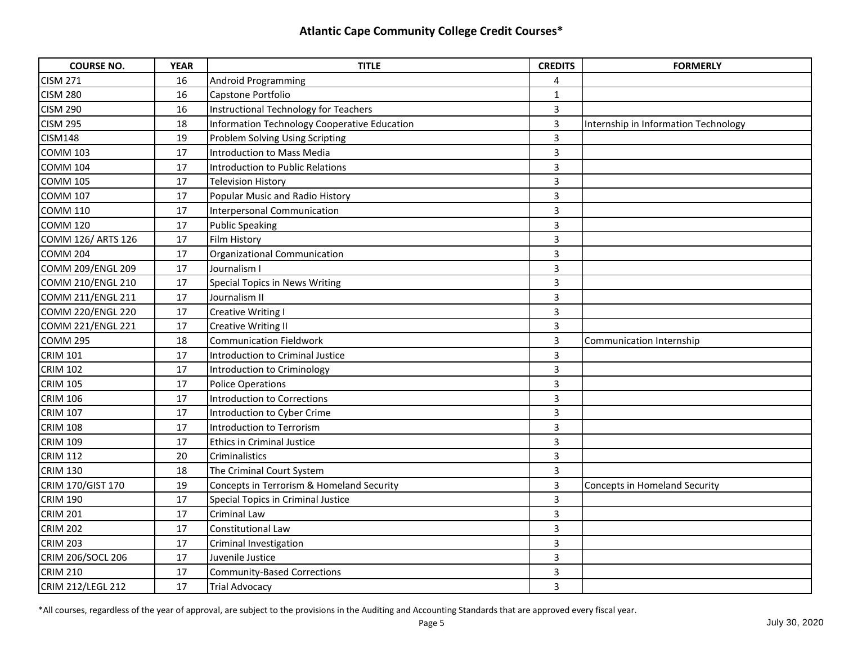| <b>COURSE NO.</b>        | <b>YEAR</b> | <b>TITLE</b>                                 | <b>CREDITS</b>          | <b>FORMERLY</b>                      |
|--------------------------|-------------|----------------------------------------------|-------------------------|--------------------------------------|
| <b>CISM 271</b>          | 16          | Android Programming                          | 4                       |                                      |
| <b>CISM 280</b>          | 16          | Capstone Portfolio                           | $\mathbf{1}$            |                                      |
| <b>CISM 290</b>          | 16          | Instructional Technology for Teachers        | 3                       |                                      |
| <b>CISM 295</b>          | 18          | Information Technology Cooperative Education | $\overline{\mathbf{3}}$ | Internship in Information Technology |
| <b>CISM148</b>           | 19          | Problem Solving Using Scripting              | $\overline{3}$          |                                      |
| <b>COMM 103</b>          | 17          | Introduction to Mass Media                   | $\overline{\mathbf{3}}$ |                                      |
| <b>COMM 104</b>          | 17          | Introduction to Public Relations             | 3                       |                                      |
| <b>COMM 105</b>          | 17          | <b>Television History</b>                    | 3                       |                                      |
| <b>COMM 107</b>          | 17          | Popular Music and Radio History              | $\overline{\mathbf{3}}$ |                                      |
| <b>COMM 110</b>          | 17          | Interpersonal Communication                  | 3                       |                                      |
| <b>COMM 120</b>          | 17          | <b>Public Speaking</b>                       | 3                       |                                      |
| COMM 126/ ARTS 126       | 17          | <b>Film History</b>                          | $\overline{3}$          |                                      |
| <b>COMM 204</b>          | 17          | Organizational Communication                 | $\overline{3}$          |                                      |
| COMM 209/ENGL 209        | 17          | Journalism I                                 | 3                       |                                      |
| COMM 210/ENGL 210        | 17          | <b>Special Topics in News Writing</b>        | 3                       |                                      |
| COMM 211/ENGL 211        | 17          | Journalism II                                | 3                       |                                      |
| <b>COMM 220/ENGL 220</b> | 17          | <b>Creative Writing I</b>                    | 3                       |                                      |
| <b>COMM 221/ENGL 221</b> | 17          | <b>Creative Writing II</b>                   | 3                       |                                      |
| <b>COMM 295</b>          | 18          | <b>Communication Fieldwork</b>               | $\overline{3}$          | <b>Communication Internship</b>      |
| <b>CRIM 101</b>          | 17          | Introduction to Criminal Justice             | $\overline{3}$          |                                      |
| <b>CRIM 102</b>          | 17          | Introduction to Criminology                  | 3                       |                                      |
| <b>CRIM 105</b>          | 17          | Police Operations                            | 3                       |                                      |
| <b>CRIM 106</b>          | 17          | Introduction to Corrections                  | 3                       |                                      |
| <b>CRIM 107</b>          | 17          | Introduction to Cyber Crime                  | 3                       |                                      |
| <b>CRIM 108</b>          | 17          | Introduction to Terrorism                    | 3                       |                                      |
| <b>CRIM 109</b>          | 17          | <b>Ethics in Criminal Justice</b>            | 3                       |                                      |
| <b>CRIM 112</b>          | 20          | Criminalistics                               | 3                       |                                      |
| <b>CRIM 130</b>          | 18          | The Criminal Court System                    | $\overline{3}$          |                                      |
| CRIM 170/GIST 170        | 19          | Concepts in Terrorism & Homeland Security    | 3                       | Concepts in Homeland Security        |
| <b>CRIM 190</b>          | 17          | Special Topics in Criminal Justice           | 3                       |                                      |
| <b>CRIM 201</b>          | 17          | Criminal Law                                 | 3                       |                                      |
| <b>CRIM 202</b>          | 17          | Constitutional Law                           | 3                       |                                      |
| <b>CRIM 203</b>          | 17          | Criminal Investigation                       | 3                       |                                      |
| CRIM 206/SOCL 206        | 17          | Juvenile Justice                             | 3                       |                                      |
| <b>CRIM 210</b>          | 17          | <b>Community-Based Corrections</b>           | 3                       |                                      |
| CRIM 212/LEGL 212        | 17          | <b>Trial Advocacy</b>                        | 3                       |                                      |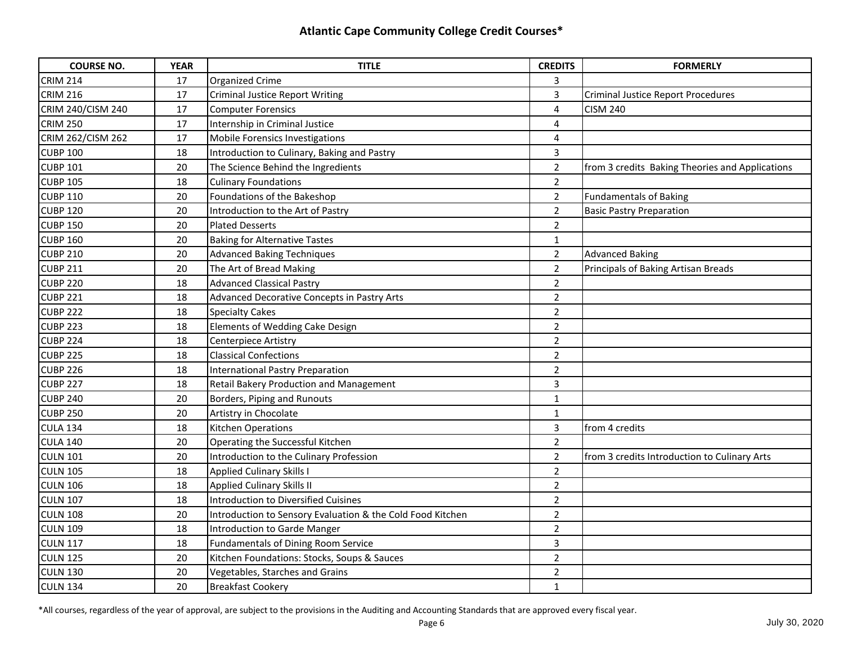| <b>COURSE NO.</b> | <b>YEAR</b> | <b>TITLE</b>                                               | <b>CREDITS</b> | <b>FORMERLY</b>                                 |
|-------------------|-------------|------------------------------------------------------------|----------------|-------------------------------------------------|
| <b>CRIM 214</b>   | 17          | <b>Organized Crime</b>                                     | 3              |                                                 |
| <b>CRIM 216</b>   | 17          | <b>Criminal Justice Report Writing</b>                     | $\overline{3}$ | <b>Criminal Justice Report Procedures</b>       |
| CRIM 240/CISM 240 | 17          | <b>Computer Forensics</b>                                  | $\overline{4}$ | <b>CISM 240</b>                                 |
| <b>CRIM 250</b>   | 17          | Internship in Criminal Justice                             | 4              |                                                 |
| CRIM 262/CISM 262 | 17          | Mobile Forensics Investigations                            | 4              |                                                 |
| <b>CUBP 100</b>   | 18          | Introduction to Culinary, Baking and Pastry                | 3              |                                                 |
| <b>CUBP 101</b>   | 20          | The Science Behind the Ingredients                         | $\overline{2}$ | from 3 credits Baking Theories and Applications |
| <b>CUBP 105</b>   | 18          | <b>Culinary Foundations</b>                                | $\overline{2}$ |                                                 |
| <b>CUBP 110</b>   | 20          | Foundations of the Bakeshop                                | $\overline{2}$ | <b>Fundamentals of Baking</b>                   |
| <b>CUBP 120</b>   | 20          | Introduction to the Art of Pastry                          | $\overline{2}$ | <b>Basic Pastry Preparation</b>                 |
| <b>CUBP 150</b>   | 20          | <b>Plated Desserts</b>                                     | $\overline{2}$ |                                                 |
| <b>CUBP 160</b>   | 20          | <b>Baking for Alternative Tastes</b>                       | $\mathbf{1}$   |                                                 |
| <b>CUBP 210</b>   | 20          | <b>Advanced Baking Techniques</b>                          | $\overline{2}$ | <b>Advanced Baking</b>                          |
| <b>CUBP 211</b>   | 20          | The Art of Bread Making                                    | $\overline{2}$ | Principals of Baking Artisan Breads             |
| <b>CUBP 220</b>   | 18          | <b>Advanced Classical Pastry</b>                           | $\overline{2}$ |                                                 |
| <b>CUBP 221</b>   | 18          | Advanced Decorative Concepts in Pastry Arts                | $\overline{2}$ |                                                 |
| <b>CUBP 222</b>   | 18          | <b>Specialty Cakes</b>                                     | $\overline{2}$ |                                                 |
| <b>CUBP 223</b>   | 18          | Elements of Wedding Cake Design                            | $\overline{2}$ |                                                 |
| <b>CUBP 224</b>   | 18          | Centerpiece Artistry                                       | $\overline{2}$ |                                                 |
| <b>CUBP 225</b>   | 18          | <b>Classical Confections</b>                               | $\overline{2}$ |                                                 |
| <b>CUBP 226</b>   | 18          | <b>International Pastry Preparation</b>                    | $\overline{2}$ |                                                 |
| <b>CUBP 227</b>   | 18          | Retail Bakery Production and Management                    | 3              |                                                 |
| <b>CUBP 240</b>   | 20          | Borders, Piping and Runouts                                | $\mathbf{1}$   |                                                 |
| <b>CUBP 250</b>   | 20          | Artistry in Chocolate                                      | $\mathbf{1}$   |                                                 |
| <b>CULA 134</b>   | 18          | Kitchen Operations                                         | 3              | from 4 credits                                  |
| <b>CULA 140</b>   | 20          | Operating the Successful Kitchen                           | $\overline{2}$ |                                                 |
| <b>CULN 101</b>   | 20          | Introduction to the Culinary Profession                    | $\overline{2}$ | from 3 credits Introduction to Culinary Arts    |
| <b>CULN 105</b>   | 18          | <b>Applied Culinary Skills I</b>                           | $\overline{2}$ |                                                 |
| <b>CULN 106</b>   | 18          | <b>Applied Culinary Skills II</b>                          | $\overline{2}$ |                                                 |
| <b>CULN 107</b>   | 18          | <b>Introduction to Diversified Cuisines</b>                | $\overline{2}$ |                                                 |
| <b>CULN 108</b>   | 20          | Introduction to Sensory Evaluation & the Cold Food Kitchen | $\overline{2}$ |                                                 |
| <b>CULN 109</b>   | 18          | <b>Introduction to Garde Manger</b>                        | $\overline{2}$ |                                                 |
| <b>CULN 117</b>   | 18          | Fundamentals of Dining Room Service                        | 3              |                                                 |
| <b>CULN 125</b>   | 20          | Kitchen Foundations: Stocks, Soups & Sauces                | $\overline{2}$ |                                                 |
| <b>CULN 130</b>   | 20          | Vegetables, Starches and Grains                            | $\overline{2}$ |                                                 |
| CULN 134          | 20          | <b>Breakfast Cookery</b>                                   | $\mathbf{1}$   |                                                 |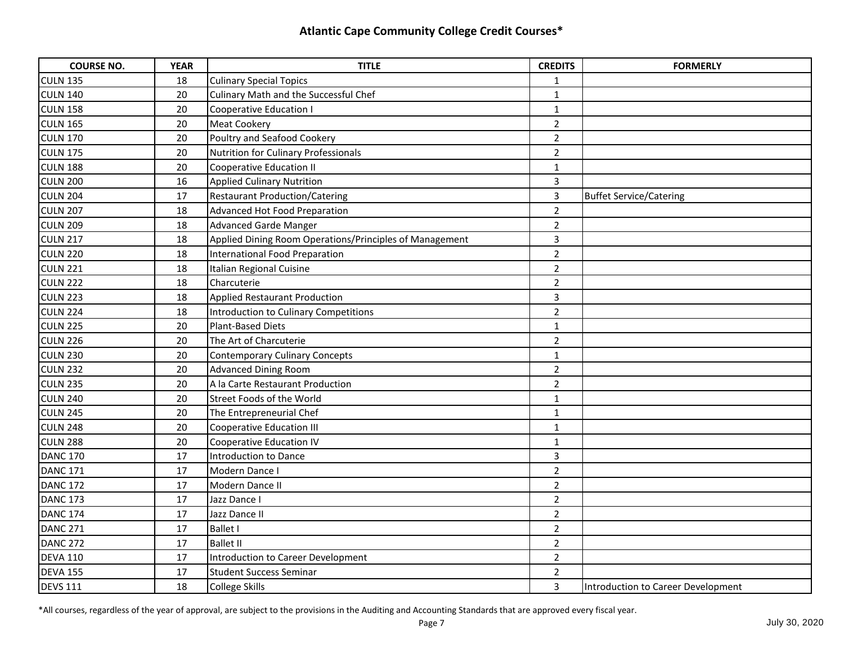| <b>COURSE NO.</b> | <b>YEAR</b> | <b>TITLE</b>                                            | <b>CREDITS</b> | <b>FORMERLY</b>                    |
|-------------------|-------------|---------------------------------------------------------|----------------|------------------------------------|
| <b>CULN 135</b>   | 18          | <b>Culinary Special Topics</b>                          | 1              |                                    |
| <b>CULN 140</b>   | 20          | Culinary Math and the Successful Chef                   | $\mathbf{1}$   |                                    |
| <b>CULN 158</b>   | 20          | <b>Cooperative Education I</b>                          | $\mathbf{1}$   |                                    |
| <b>CULN 165</b>   | 20          | <b>Meat Cookery</b>                                     | $\overline{2}$ |                                    |
| <b>CULN 170</b>   | 20          | Poultry and Seafood Cookery                             | $\overline{2}$ |                                    |
| <b>CULN 175</b>   | 20          | Nutrition for Culinary Professionals                    | $\overline{2}$ |                                    |
| <b>CULN 188</b>   | 20          | Cooperative Education II                                | $\mathbf{1}$   |                                    |
| <b>CULN 200</b>   | 16          | <b>Applied Culinary Nutrition</b>                       | 3              |                                    |
| <b>CULN 204</b>   | 17          | <b>Restaurant Production/Catering</b>                   | $\overline{3}$ | <b>Buffet Service/Catering</b>     |
| <b>CULN 207</b>   | 18          | Advanced Hot Food Preparation                           | $\overline{2}$ |                                    |
| <b>CULN 209</b>   | 18          | <b>Advanced Garde Manger</b>                            | $\overline{2}$ |                                    |
| <b>CULN 217</b>   | 18          | Applied Dining Room Operations/Principles of Management | 3              |                                    |
| <b>CULN 220</b>   | 18          | International Food Preparation                          | $\overline{2}$ |                                    |
| <b>CULN 221</b>   | 18          | Italian Regional Cuisine                                | $\overline{2}$ |                                    |
| <b>CULN 222</b>   | 18          | Charcuterie                                             | $\overline{2}$ |                                    |
| <b>CULN 223</b>   | 18          | <b>Applied Restaurant Production</b>                    | 3              |                                    |
| <b>CULN 224</b>   | 18          | Introduction to Culinary Competitions                   | $\overline{2}$ |                                    |
| <b>CULN 225</b>   | 20          | <b>Plant-Based Diets</b>                                | $\mathbf{1}$   |                                    |
| <b>CULN 226</b>   | 20          | The Art of Charcuterie                                  | $\overline{2}$ |                                    |
| <b>CULN 230</b>   | 20          | <b>Contemporary Culinary Concepts</b>                   | $\mathbf{1}$   |                                    |
| <b>CULN 232</b>   | 20          | <b>Advanced Dining Room</b>                             | $\overline{2}$ |                                    |
| <b>CULN 235</b>   | 20          | A la Carte Restaurant Production                        | $\overline{2}$ |                                    |
| <b>CULN 240</b>   | 20          | Street Foods of the World                               | $\mathbf{1}$   |                                    |
| <b>CULN 245</b>   | 20          | The Entrepreneurial Chef                                | $\mathbf{1}$   |                                    |
| <b>CULN 248</b>   | 20          | <b>Cooperative Education III</b>                        | $\mathbf{1}$   |                                    |
| <b>CULN 288</b>   | 20          | <b>Cooperative Education IV</b>                         | $\mathbf{1}$   |                                    |
| <b>DANC 170</b>   | 17          | Introduction to Dance                                   | $\overline{3}$ |                                    |
| <b>DANC 171</b>   | 17          | Modern Dance I                                          | $\overline{2}$ |                                    |
| <b>DANC 172</b>   | 17          | Modern Dance II                                         | $\overline{2}$ |                                    |
| <b>DANC 173</b>   | 17          | Jazz Dance I                                            | $\overline{2}$ |                                    |
| <b>DANC 174</b>   | 17          | Jazz Dance II                                           | $\overline{2}$ |                                    |
| <b>DANC 271</b>   | 17          | <b>Ballet I</b>                                         | $\overline{2}$ |                                    |
| <b>DANC 272</b>   | 17          | <b>Ballet II</b>                                        | $\overline{2}$ |                                    |
| <b>DEVA 110</b>   | 17          | Introduction to Career Development                      | $\overline{2}$ |                                    |
| <b>DEVA 155</b>   | 17          | <b>Student Success Seminar</b>                          | $\overline{2}$ |                                    |
| <b>DEVS 111</b>   | 18          | <b>College Skills</b>                                   | $\overline{3}$ | Introduction to Career Development |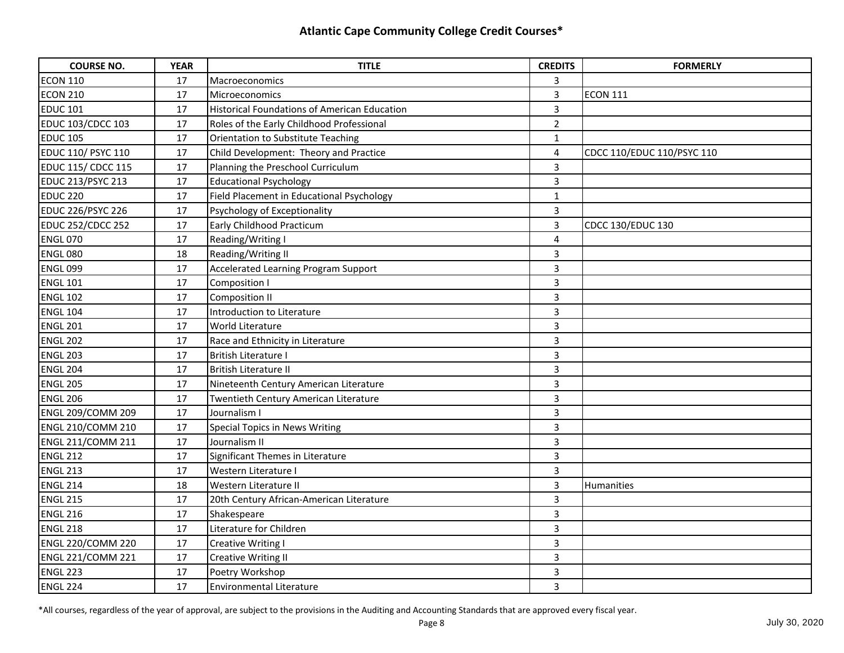| <b>COURSE NO.</b>         | <b>YEAR</b> | <b>TITLE</b>                                 | <b>CREDITS</b>          | <b>FORMERLY</b>            |
|---------------------------|-------------|----------------------------------------------|-------------------------|----------------------------|
| <b>ECON 110</b>           | 17          | Macroeconomics                               | 3                       |                            |
| <b>ECON 210</b>           | 17          | Microeconomics                               | 3                       | <b>ECON 111</b>            |
| <b>EDUC 101</b>           | 17          | Historical Foundations of American Education | 3                       |                            |
| <b>EDUC 103/CDCC 103</b>  | 17          | Roles of the Early Childhood Professional    | $\overline{2}$          |                            |
| <b>EDUC 105</b>           | 17          | Orientation to Substitute Teaching           | $\mathbf{1}$            |                            |
| <b>EDUC 110/ PSYC 110</b> | 17          | Child Development: Theory and Practice       | 4                       | CDCC 110/EDUC 110/PSYC 110 |
| <b>EDUC 115/ CDCC 115</b> | 17          | Planning the Preschool Curriculum            | 3                       |                            |
| EDUC 213/PSYC 213         | 17          | <b>Educational Psychology</b>                | 3                       |                            |
| <b>EDUC 220</b>           | 17          | Field Placement in Educational Psychology    | $\mathbf{1}$            |                            |
| <b>EDUC 226/PSYC 226</b>  | 17          | Psychology of Exceptionality                 | 3                       |                            |
| <b>EDUC 252/CDCC 252</b>  | 17          | Early Childhood Practicum                    | 3                       | <b>CDCC 130/EDUC 130</b>   |
| <b>ENGL 070</b>           | 17          | Reading/Writing I                            | $\overline{\mathbf{4}}$ |                            |
| <b>ENGL 080</b>           | 18          | Reading/Writing II                           | $\overline{3}$          |                            |
| <b>ENGL 099</b>           | 17          | Accelerated Learning Program Support         | 3                       |                            |
| <b>ENGL 101</b>           | 17          | Composition I                                | 3                       |                            |
| <b>ENGL 102</b>           | 17          | Composition II                               | 3                       |                            |
| <b>ENGL 104</b>           | 17          | Introduction to Literature                   | 3                       |                            |
| <b>ENGL 201</b>           | 17          | <b>World Literature</b>                      | 3                       |                            |
| <b>ENGL 202</b>           | 17          | Race and Ethnicity in Literature             | 3                       |                            |
| <b>ENGL 203</b>           | 17          | British Literature I                         | $\overline{3}$          |                            |
| <b>ENGL 204</b>           | 17          | British Literature II                        | 3                       |                            |
| <b>ENGL 205</b>           | 17          | Nineteenth Century American Literature       | 3                       |                            |
| <b>ENGL 206</b>           | 17          | Twentieth Century American Literature        | 3                       |                            |
| ENGL 209/COMM 209         | 17          | Journalism I                                 | 3                       |                            |
| ENGL 210/COMM 210         | 17          | <b>Special Topics in News Writing</b>        | 3                       |                            |
| <b>ENGL 211/COMM 211</b>  | 17          | Journalism II                                | 3                       |                            |
| <b>ENGL 212</b>           | 17          | Significant Themes in Literature             | 3                       |                            |
| <b>ENGL 213</b>           | 17          | Western Literature I                         | 3                       |                            |
| <b>ENGL 214</b>           | 18          | Western Literature II                        | 3                       | Humanities                 |
| <b>ENGL 215</b>           | 17          | 20th Century African-American Literature     | 3                       |                            |
| <b>ENGL 216</b>           | 17          | Shakespeare                                  | 3                       |                            |
| <b>ENGL 218</b>           | 17          | Literature for Children                      | 3                       |                            |
| <b>ENGL 220/COMM 220</b>  | 17          | <b>Creative Writing I</b>                    | 3                       |                            |
| <b>ENGL 221/COMM 221</b>  | 17          | <b>Creative Writing II</b>                   | 3                       |                            |
| <b>ENGL 223</b>           | 17          | Poetry Workshop                              | 3                       |                            |
| ENGL 224                  | 17          | <b>Environmental Literature</b>              | 3                       |                            |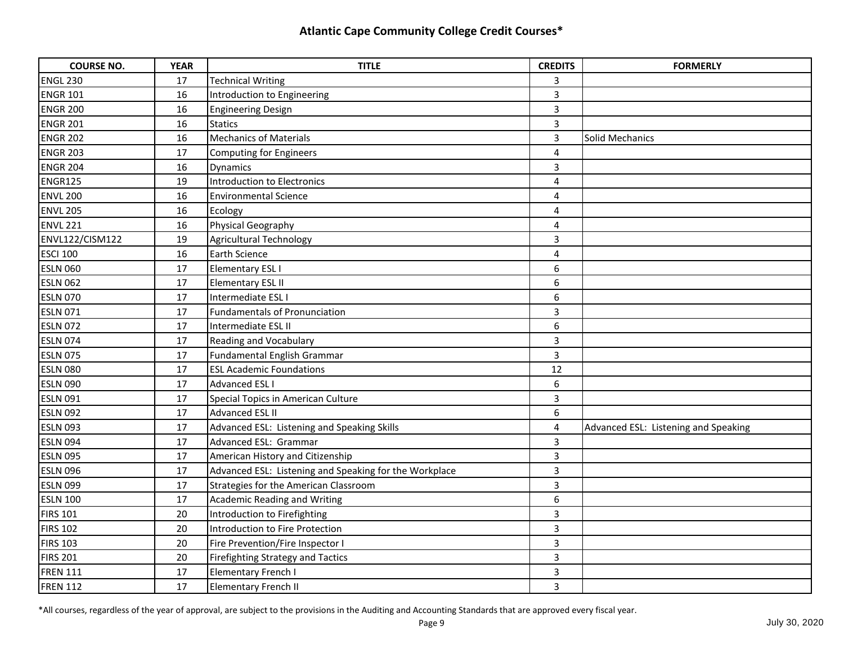| <b>COURSE NO.</b> | <b>YEAR</b> | <b>TITLE</b>                                           | <b>CREDITS</b>          | <b>FORMERLY</b>                      |
|-------------------|-------------|--------------------------------------------------------|-------------------------|--------------------------------------|
| <b>ENGL 230</b>   | 17          | <b>Technical Writing</b>                               | 3                       |                                      |
| <b>ENGR 101</b>   | 16          | Introduction to Engineering                            | $\overline{3}$          |                                      |
| <b>ENGR 200</b>   | 16          | <b>Engineering Design</b>                              | $\overline{3}$          |                                      |
| <b>ENGR 201</b>   | 16          | <b>Statics</b>                                         | $\overline{3}$          |                                      |
| <b>ENGR 202</b>   | 16          | <b>Mechanics of Materials</b>                          | 3                       | Solid Mechanics                      |
| <b>ENGR 203</b>   | 17          | <b>Computing for Engineers</b>                         | 4                       |                                      |
| <b>ENGR 204</b>   | 16          | <b>Dynamics</b>                                        | 3                       |                                      |
| <b>ENGR125</b>    | 19          | Introduction to Electronics                            | $\overline{\mathbf{4}}$ |                                      |
| <b>ENVL 200</b>   | 16          | <b>Environmental Science</b>                           | $\overline{\mathbf{4}}$ |                                      |
| <b>ENVL 205</b>   | 16          | Ecology                                                | $\overline{4}$          |                                      |
| <b>ENVL 221</b>   | 16          | Physical Geography                                     | $\overline{4}$          |                                      |
| ENVL122/CISM122   | 19          | <b>Agricultural Technology</b>                         | 3                       |                                      |
| <b>ESCI 100</b>   | 16          | Earth Science                                          | 4                       |                                      |
| <b>ESLN 060</b>   | 17          | <b>Elementary ESL I</b>                                | 6                       |                                      |
| <b>ESLN 062</b>   | 17          | <b>Elementary ESL II</b>                               | 6                       |                                      |
| <b>ESLN 070</b>   | 17          | Intermediate ESL I                                     | 6                       |                                      |
| <b>ESLN 071</b>   | 17          | Fundamentals of Pronunciation                          | $\overline{\mathbf{3}}$ |                                      |
| <b>ESLN 072</b>   | 17          | Intermediate ESL II                                    | 6                       |                                      |
| <b>ESLN 074</b>   | 17          | Reading and Vocabulary                                 | $\overline{3}$          |                                      |
| <b>ESLN 075</b>   | 17          | Fundamental English Grammar                            | 3                       |                                      |
| <b>ESLN 080</b>   | 17          | <b>ESL Academic Foundations</b>                        | 12                      |                                      |
| <b>ESLN 090</b>   | 17          | <b>Advanced ESL I</b>                                  | 6                       |                                      |
| <b>ESLN 091</b>   | 17          | Special Topics in American Culture                     | 3                       |                                      |
| <b>ESLN 092</b>   | 17          | <b>Advanced ESL II</b>                                 | 6                       |                                      |
| <b>ESLN 093</b>   | 17          | Advanced ESL: Listening and Speaking Skills            | 4                       | Advanced ESL: Listening and Speaking |
| <b>ESLN 094</b>   | 17          | Advanced ESL: Grammar                                  | 3                       |                                      |
| <b>ESLN 095</b>   | 17          | American History and Citizenship                       | $\overline{3}$          |                                      |
| <b>ESLN 096</b>   | 17          | Advanced ESL: Listening and Speaking for the Workplace | 3                       |                                      |
| <b>ESLN 099</b>   | 17          | Strategies for the American Classroom                  | 3                       |                                      |
| <b>ESLN 100</b>   | 17          | <b>Academic Reading and Writing</b>                    | 6                       |                                      |
| <b>FIRS 101</b>   | 20          | Introduction to Firefighting                           | 3                       |                                      |
| <b>FIRS 102</b>   | 20          | Introduction to Fire Protection                        | 3                       |                                      |
| <b>FIRS 103</b>   | 20          | Fire Prevention/Fire Inspector I                       | 3                       |                                      |
| <b>FIRS 201</b>   | 20          | <b>Firefighting Strategy and Tactics</b>               | 3                       |                                      |
| <b>FREN 111</b>   | 17          | <b>Elementary French I</b>                             | 3                       |                                      |
| <b>FREN 112</b>   | 17          | <b>Elementary French II</b>                            | 3                       |                                      |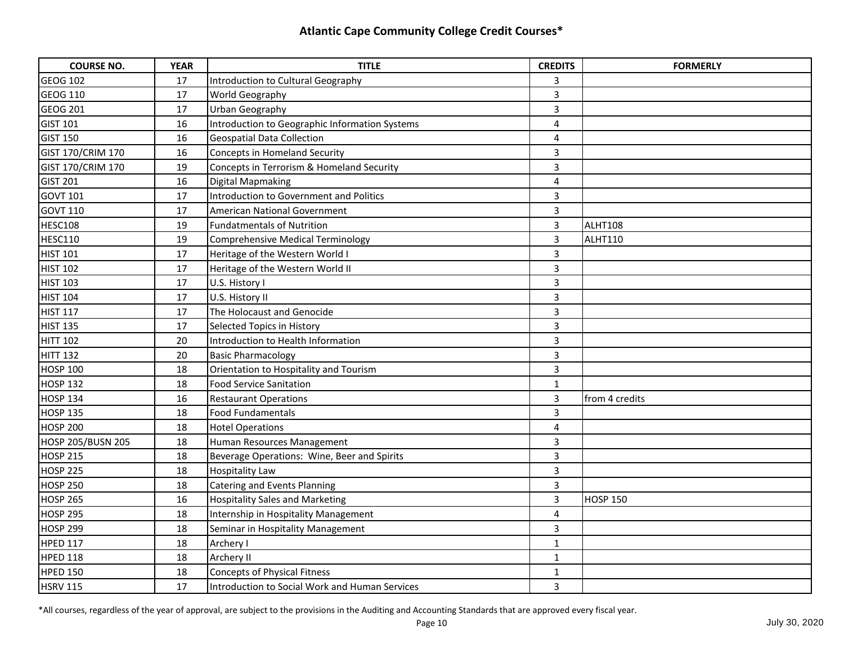| <b>COURSE NO.</b> | <b>YEAR</b> | <b>TITLE</b>                                   | <b>CREDITS</b>          | <b>FORMERLY</b> |
|-------------------|-------------|------------------------------------------------|-------------------------|-----------------|
| <b>GEOG 102</b>   | 17          | Introduction to Cultural Geography             | 3                       |                 |
| <b>GEOG 110</b>   | 17          | World Geography                                | $\overline{3}$          |                 |
| <b>GEOG 201</b>   | 17          | Urban Geography                                | $\overline{3}$          |                 |
| <b>GIST 101</b>   | 16          | Introduction to Geographic Information Systems | 4                       |                 |
| <b>GIST 150</b>   | 16          | <b>Geospatial Data Collection</b>              | $\overline{4}$          |                 |
| GIST 170/CRIM 170 | 16          | <b>Concepts in Homeland Security</b>           | 3                       |                 |
| GIST 170/CRIM 170 | 19          | Concepts in Terrorism & Homeland Security      | 3                       |                 |
| <b>GIST 201</b>   | 16          | Digital Mapmaking                              | 4                       |                 |
| <b>GOVT 101</b>   | 17          | Introduction to Government and Politics        | 3                       |                 |
| <b>GOVT 110</b>   | 17          | American National Government                   | 3                       |                 |
| HESC108           | 19          | <b>Fundatmentals of Nutrition</b>              | $\overline{\mathbf{3}}$ | ALHT108         |
| <b>HESC110</b>    | 19          | Comprehensive Medical Terminology              | $\overline{3}$          | <b>ALHT110</b>  |
| <b>HIST 101</b>   | 17          | Heritage of the Western World I                | $\overline{3}$          |                 |
| <b>HIST 102</b>   | 17          | Heritage of the Western World II               | 3                       |                 |
| <b>HIST 103</b>   | 17          | U.S. History I                                 | 3                       |                 |
| <b>HIST 104</b>   | 17          | U.S. History II                                | 3                       |                 |
| <b>HIST 117</b>   | 17          | The Holocaust and Genocide                     | 3                       |                 |
| <b>HIST 135</b>   | 17          | Selected Topics in History                     | $\overline{\mathbf{3}}$ |                 |
| <b>HITT 102</b>   | 20          | Introduction to Health Information             | $\overline{3}$          |                 |
| <b>HITT 132</b>   | 20          | <b>Basic Pharmacology</b>                      | $\overline{3}$          |                 |
| <b>HOSP 100</b>   | 18          | Orientation to Hospitality and Tourism         | 3                       |                 |
| <b>HOSP 132</b>   | 18          | <b>Food Service Sanitation</b>                 | $\mathbf{1}$            |                 |
| <b>HOSP 134</b>   | 16          | <b>Restaurant Operations</b>                   | $\overline{3}$          | from 4 credits  |
| <b>HOSP 135</b>   | 18          | <b>Food Fundamentals</b>                       | 3                       |                 |
| <b>HOSP 200</b>   | 18          | <b>Hotel Operations</b>                        | 4                       |                 |
| HOSP 205/BUSN 205 | 18          | Human Resources Management                     | 3                       |                 |
| <b>HOSP 215</b>   | 18          | Beverage Operations: Wine, Beer and Spirits    | 3                       |                 |
| <b>HOSP 225</b>   | 18          | <b>Hospitality Law</b>                         | 3                       |                 |
| <b>HOSP 250</b>   | 18          | Catering and Events Planning                   | 3                       |                 |
| <b>HOSP 265</b>   | 16          | <b>Hospitality Sales and Marketing</b>         | 3                       | <b>HOSP 150</b> |
| <b>HOSP 295</b>   | 18          | Internship in Hospitality Management           | 4                       |                 |
| <b>HOSP 299</b>   | 18          | Seminar in Hospitality Management              | 3                       |                 |
| <b>HPED 117</b>   | 18          | Archery I                                      | 1                       |                 |
| <b>HPED 118</b>   | 18          | Archery II                                     | $\mathbf{1}$            |                 |
| <b>HPED 150</b>   | 18          | <b>Concepts of Physical Fitness</b>            | $\mathbf{1}$            |                 |
| <b>HSRV 115</b>   | 17          | Introduction to Social Work and Human Services | 3                       |                 |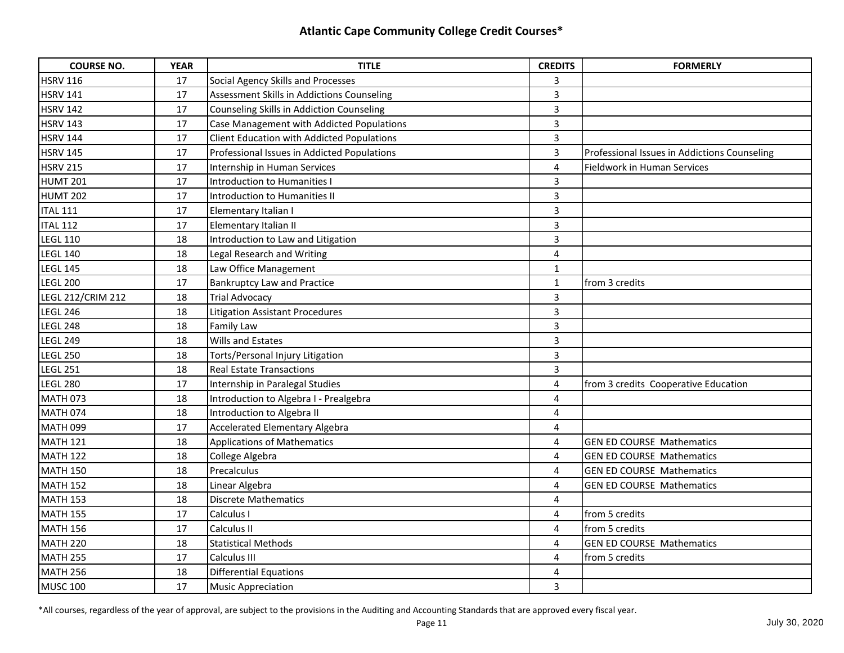| <b>COURSE NO.</b>        | <b>YEAR</b> | <b>TITLE</b>                                | <b>CREDITS</b>          | <b>FORMERLY</b>                              |
|--------------------------|-------------|---------------------------------------------|-------------------------|----------------------------------------------|
| <b>HSRV 116</b>          | 17          | Social Agency Skills and Processes          | 3                       |                                              |
| <b>HSRV 141</b>          | 17          | Assessment Skills in Addictions Counseling  | $\overline{3}$          |                                              |
| <b>HSRV 142</b>          | 17          | Counseling Skills in Addiction Counseling   | $\overline{3}$          |                                              |
| <b>HSRV 143</b>          | 17          | Case Management with Addicted Populations   | $\overline{3}$          |                                              |
| <b>HSRV 144</b>          | 17          | Client Education with Addicted Populations  | 3                       |                                              |
| <b>HSRV 145</b>          | 17          | Professional Issues in Addicted Populations | $\overline{3}$          | Professional Issues in Addictions Counseling |
| <b>HSRV 215</b>          | 17          | Internship in Human Services                | 4                       | Fieldwork in Human Services                  |
| <b>HUMT 201</b>          | 17          | Introduction to Humanities I                | 3                       |                                              |
| <b>HUMT 202</b>          | 17          | Introduction to Humanities II               | $\overline{\mathbf{3}}$ |                                              |
| <b>ITAL 111</b>          | 17          | Elementary Italian I                        | $\overline{3}$          |                                              |
| <b>ITAL 112</b>          | 17          | Elementary Italian II                       | $\overline{3}$          |                                              |
| <b>LEGL 110</b>          | 18          | Introduction to Law and Litigation          | 3                       |                                              |
| <b>LEGL 140</b>          | 18          | Legal Research and Writing                  | 4                       |                                              |
| <b>LEGL 145</b>          | 18          | Law Office Management                       | $\mathbf{1}$            |                                              |
| <b>LEGL 200</b>          | 17          | <b>Bankruptcy Law and Practice</b>          | $\mathbf{1}$            | from 3 credits                               |
| <b>LEGL 212/CRIM 212</b> | 18          | <b>Trial Advocacy</b>                       | 3                       |                                              |
| <b>LEGL 246</b>          | 18          | <b>Litigation Assistant Procedures</b>      | $\overline{\mathbf{3}}$ |                                              |
| <b>LEGL 248</b>          | 18          | <b>Family Law</b>                           | $\overline{3}$          |                                              |
| <b>LEGL 249</b>          | 18          | Wills and Estates                           | $\overline{3}$          |                                              |
| <b>LEGL 250</b>          | 18          | Torts/Personal Injury Litigation            | 3                       |                                              |
| <b>LEGL 251</b>          | 18          | <b>Real Estate Transactions</b>             | 3                       |                                              |
| <b>LEGL 280</b>          | 17          | Internship in Paralegal Studies             | 4                       | from 3 credits Cooperative Education         |
| <b>MATH 073</b>          | 18          | Introduction to Algebra I - Prealgebra      | 4                       |                                              |
| <b>MATH 074</b>          | 18          | Introduction to Algebra II                  | 4                       |                                              |
| <b>MATH 099</b>          | 17          | <b>Accelerated Elementary Algebra</b>       | 4                       |                                              |
| <b>MATH 121</b>          | 18          | <b>Applications of Mathematics</b>          | $\overline{4}$          | <b>GEN ED COURSE Mathematics</b>             |
| <b>MATH 122</b>          | 18          | College Algebra                             | 4                       | <b>GEN ED COURSE Mathematics</b>             |
| <b>MATH 150</b>          | 18          | Precalculus                                 | 4                       | <b>GEN ED COURSE Mathematics</b>             |
| <b>MATH 152</b>          | 18          | Linear Algebra                              | 4                       | <b>GEN ED COURSE Mathematics</b>             |
| <b>MATH 153</b>          | 18          | <b>Discrete Mathematics</b>                 | 4                       |                                              |
| <b>MATH 155</b>          | 17          | Calculus I                                  | 4                       | from 5 credits                               |
| <b>MATH 156</b>          | 17          | Calculus II                                 | 4                       | from 5 credits                               |
| <b>MATH 220</b>          | 18          | <b>Statistical Methods</b>                  | 4                       | <b>GEN ED COURSE Mathematics</b>             |
| <b>MATH 255</b>          | 17          | Calculus III                                | $\overline{4}$          | from 5 credits                               |
| <b>MATH 256</b>          | 18          | <b>Differential Equations</b>               | 4                       |                                              |
| MUSC 100                 | 17          | <b>Music Appreciation</b>                   | 3                       |                                              |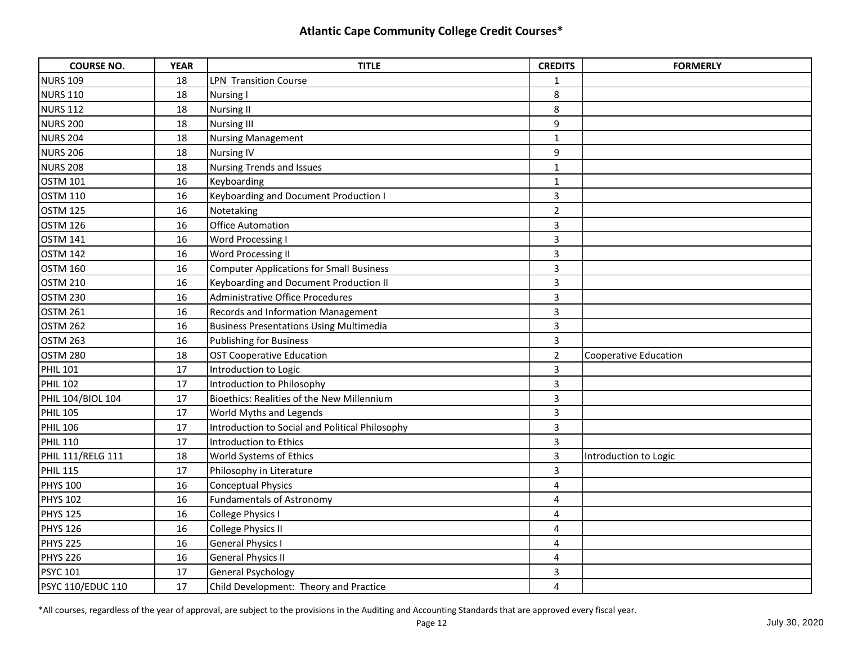| <b>COURSE NO.</b>        | <b>YEAR</b> | <b>TITLE</b>                                    | <b>CREDITS</b>          | <b>FORMERLY</b>       |
|--------------------------|-------------|-------------------------------------------------|-------------------------|-----------------------|
| <b>NURS 109</b>          | 18          | LPN Transition Course                           | 1                       |                       |
| <b>NURS 110</b>          | 18          | <b>Nursing I</b>                                | 8                       |                       |
| <b>NURS 112</b>          | 18          | <b>Nursing II</b>                               | 8                       |                       |
| <b>NURS 200</b>          | 18          | <b>Nursing III</b>                              | 9                       |                       |
| <b>NURS 204</b>          | 18          | <b>Nursing Management</b>                       | $\mathbf{1}$            |                       |
| <b>NURS 206</b>          | 18          | <b>Nursing IV</b>                               | 9                       |                       |
| <b>NURS 208</b>          | 18          | <b>Nursing Trends and Issues</b>                | $\mathbf{1}$            |                       |
| <b>OSTM 101</b>          | 16          | Keyboarding                                     | $\mathbf{1}$            |                       |
| <b>OSTM 110</b>          | 16          | Keyboarding and Document Production I           | 3                       |                       |
| <b>OSTM 125</b>          | 16          | Notetaking                                      | $\overline{2}$          |                       |
| <b>OSTM 126</b>          | 16          | <b>Office Automation</b>                        | 3                       |                       |
| <b>OSTM 141</b>          | 16          | Word Processing I                               | 3                       |                       |
| <b>OSTM 142</b>          | 16          | Word Processing II                              | 3                       |                       |
| <b>OSTM 160</b>          | 16          | <b>Computer Applications for Small Business</b> | 3                       |                       |
| <b>OSTM 210</b>          | 16          | <b>Keyboarding and Document Production II</b>   | 3                       |                       |
| <b>OSTM 230</b>          | 16          | Administrative Office Procedures                | 3                       |                       |
| <b>OSTM 261</b>          | 16          | Records and Information Management              | $\overline{\mathbf{3}}$ |                       |
| <b>OSTM 262</b>          | 16          | <b>Business Presentations Using Multimedia</b>  | $\overline{\mathbf{3}}$ |                       |
| <b>OSTM 263</b>          | 16          | <b>Publishing for Business</b>                  | 3                       |                       |
| <b>OSTM 280</b>          | 18          | <b>OST Cooperative Education</b>                | $\overline{2}$          | Cooperative Education |
| <b>PHIL 101</b>          | 17          | Introduction to Logic                           | 3                       |                       |
| <b>PHIL 102</b>          | 17          | Introduction to Philosophy                      | 3                       |                       |
| PHIL 104/BIOL 104        | 17          | Bioethics: Realities of the New Millennium      | 3                       |                       |
| <b>PHIL 105</b>          | 17          | World Myths and Legends                         | 3                       |                       |
| <b>PHIL 106</b>          | 17          | Introduction to Social and Political Philosophy | $\overline{3}$          |                       |
| <b>PHIL 110</b>          | 17          | Introduction to Ethics                          | 3                       |                       |
| PHIL 111/RELG 111        | 18          | World Systems of Ethics                         | $\overline{3}$          | Introduction to Logic |
| <b>PHIL 115</b>          | 17          | Philosophy in Literature                        | 3                       |                       |
| <b>PHYS 100</b>          | 16          | <b>Conceptual Physics</b>                       | 4                       |                       |
| <b>PHYS 102</b>          | 16          | <b>Fundamentals of Astronomy</b>                | 4                       |                       |
| <b>PHYS 125</b>          | 16          | College Physics I                               | 4                       |                       |
| <b>PHYS 126</b>          | 16          | College Physics II                              | 4                       |                       |
| <b>PHYS 225</b>          | 16          | <b>General Physics I</b>                        | 4                       |                       |
| <b>PHYS 226</b>          | 16          | <b>General Physics II</b>                       | 4                       |                       |
| <b>PSYC 101</b>          | 17          | General Psychology                              | 3                       |                       |
| <b>PSYC 110/EDUC 110</b> | 17          | Child Development: Theory and Practice          | 4                       |                       |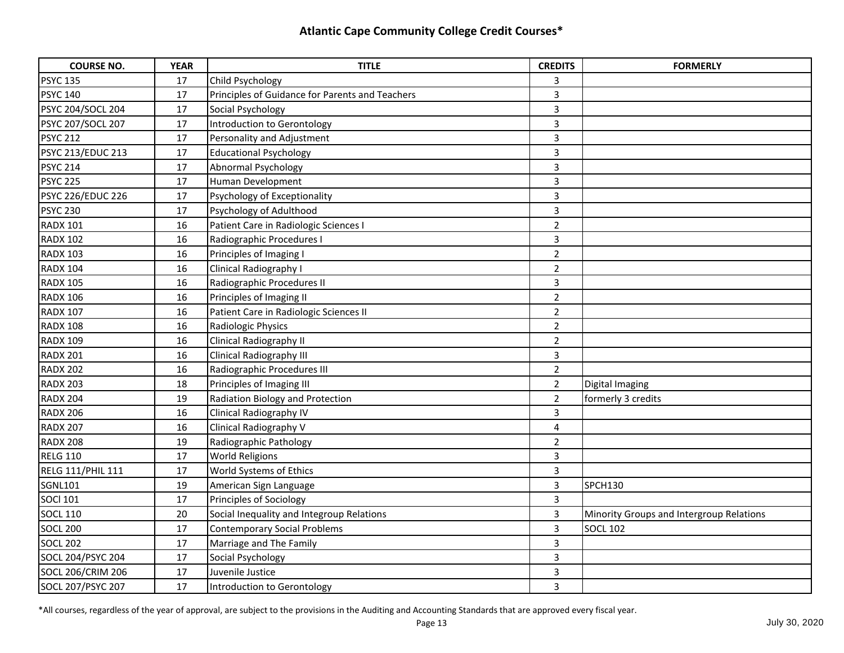| <b>COURSE NO.</b>        | <b>YEAR</b> | <b>TITLE</b>                                    | <b>CREDITS</b> | <b>FORMERLY</b>                          |
|--------------------------|-------------|-------------------------------------------------|----------------|------------------------------------------|
| <b>PSYC 135</b>          | 17          | Child Psychology                                | 3              |                                          |
| <b>PSYC 140</b>          | 17          | Principles of Guidance for Parents and Teachers | 3              |                                          |
| PSYC 204/SOCL 204        | 17          | Social Psychology                               | $\overline{3}$ |                                          |
| PSYC 207/SOCL 207        | 17          | Introduction to Gerontology                     | $\overline{3}$ |                                          |
| <b>PSYC 212</b>          | 17          | Personality and Adjustment                      | $\overline{3}$ |                                          |
| <b>PSYC 213/EDUC 213</b> | 17          | <b>Educational Psychology</b>                   | 3              |                                          |
| <b>PSYC 214</b>          | 17          | <b>Abnormal Psychology</b>                      | 3              |                                          |
| <b>PSYC 225</b>          | 17          | Human Development                               | 3              |                                          |
| <b>PSYC 226/EDUC 226</b> | 17          | Psychology of Exceptionality                    | $\overline{3}$ |                                          |
| <b>PSYC 230</b>          | 17          | Psychology of Adulthood                         | $\overline{3}$ |                                          |
| <b>RADX 101</b>          | 16          | Patient Care in Radiologic Sciences I           | $\overline{2}$ |                                          |
| <b>RADX 102</b>          | 16          | Radiographic Procedures I                       | 3              |                                          |
| <b>RADX 103</b>          | 16          | Principles of Imaging I                         | $\overline{2}$ |                                          |
| <b>RADX 104</b>          | 16          | Clinical Radiography I                          | $\overline{a}$ |                                          |
| <b>RADX 105</b>          | 16          | Radiographic Procedures II                      | 3              |                                          |
| <b>RADX 106</b>          | 16          | Principles of Imaging II                        | $\overline{2}$ |                                          |
| <b>RADX 107</b>          | 16          | Patient Care in Radiologic Sciences II          | $\overline{2}$ |                                          |
| <b>RADX 108</b>          | 16          | Radiologic Physics                              | $\overline{2}$ |                                          |
| <b>RADX 109</b>          | 16          | Clinical Radiography II                         | $\overline{2}$ |                                          |
| <b>RADX 201</b>          | 16          | <b>Clinical Radiography III</b>                 | 3              |                                          |
| <b>RADX 202</b>          | 16          | Radiographic Procedures III                     | $\overline{2}$ |                                          |
| <b>RADX 203</b>          | 18          | Principles of Imaging III                       | $\overline{2}$ | Digital Imaging                          |
| <b>RADX 204</b>          | 19          | Radiation Biology and Protection                | $\overline{2}$ | formerly 3 credits                       |
| <b>RADX 206</b>          | 16          | Clinical Radiography IV                         | 3              |                                          |
| <b>RADX 207</b>          | 16          | Clinical Radiography V                          | 4              |                                          |
| <b>RADX 208</b>          | 19          | Radiographic Pathology                          | $\overline{2}$ |                                          |
| <b>RELG 110</b>          | 17          | <b>World Religions</b>                          | $\overline{3}$ |                                          |
| RELG 111/PHIL 111        | 17          | World Systems of Ethics                         | $\overline{3}$ |                                          |
| <b>SGNL101</b>           | 19          | American Sign Language                          | 3              | SPCH130                                  |
| <b>SOCI 101</b>          | 17          | Principles of Sociology                         | $\overline{3}$ |                                          |
| <b>SOCL 110</b>          | 20          | Social Inequality and Integroup Relations       | 3              | Minority Groups and Intergroup Relations |
| <b>SOCL 200</b>          | 17          | <b>Contemporary Social Problems</b>             | 3              | <b>SOCL 102</b>                          |
| <b>SOCL 202</b>          | 17          | Marriage and The Family                         | 3              |                                          |
| SOCL 204/PSYC 204        | 17          | Social Psychology                               | 3              |                                          |
| <b>SOCL 206/CRIM 206</b> | 17          | Juvenile Justice                                | 3              |                                          |
| SOCL 207/PSYC 207        | 17          | Introduction to Gerontology                     | $\overline{3}$ |                                          |